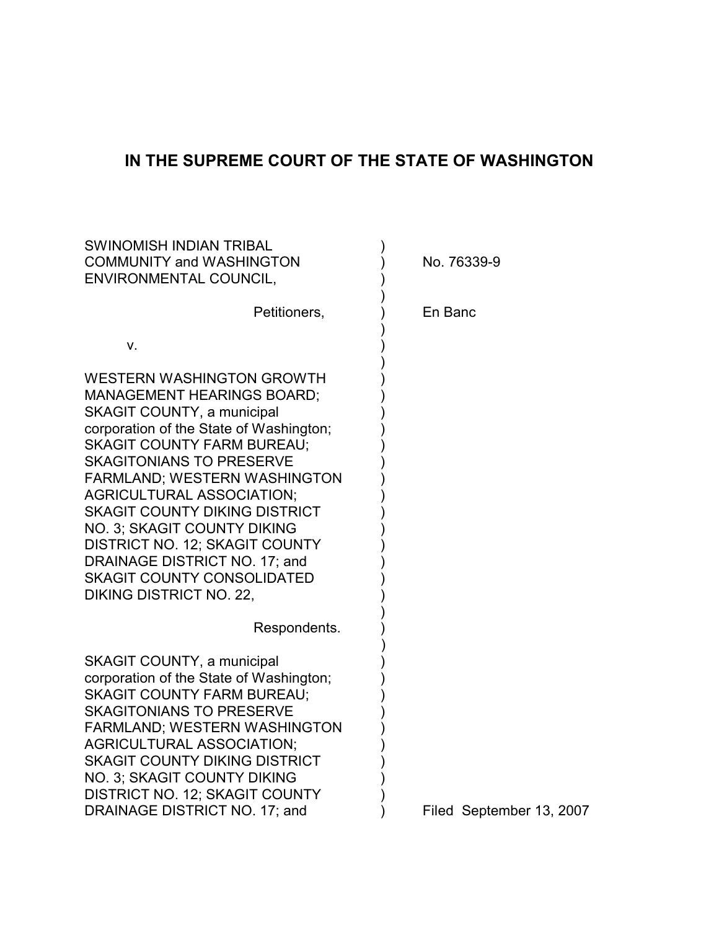# **IN THE SUPREME COURT OF THE STATE OF WASHINGTON**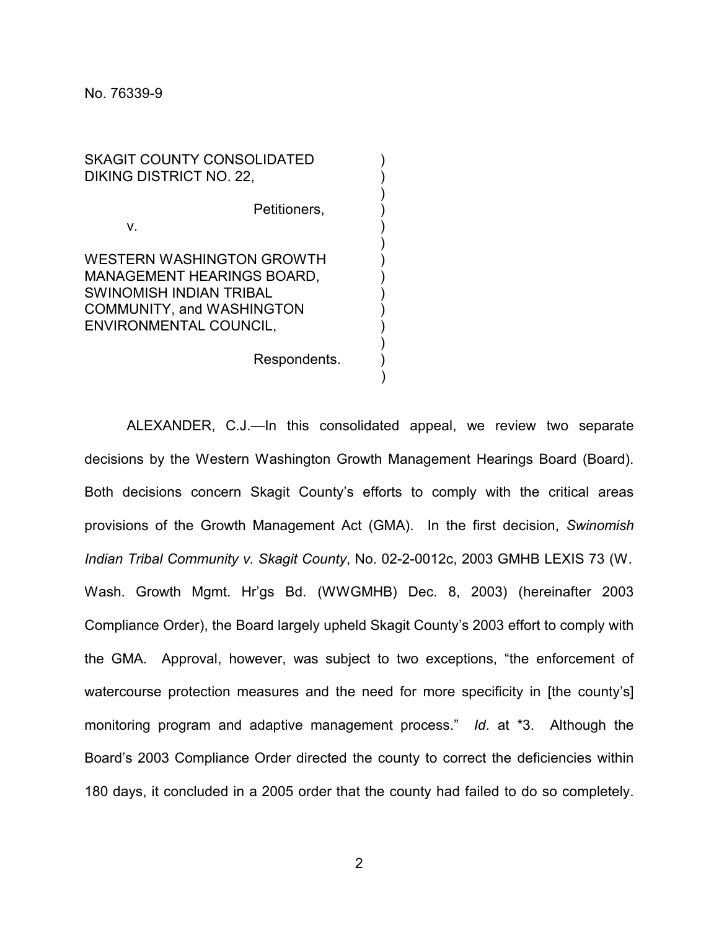SKAGIT COUNTY CONSOLIDATED DIKING DISTRICT NO. 22, Petitioners, v.  $\qquad \qquad \qquad$ WESTERN WASHINGTON GROWTH

MANAGEMENT HEARINGS BOARD, SWINOMISH INDIAN TRIBAL ) COMMUNITY, and WASHINGTON ) ENVIRONMENTAL COUNCIL,

Respondents.

ALEXANDER, C.J.—In this consolidated appeal, we review two separate decisions by the Western Washington Growth Management Hearings Board (Board). Both decisions concern Skagit County's efforts to comply with the critical areas provisions of the Growth Management Act (GMA). In the first decision, *Swinomish Indian Tribal Community v. Skagit County*, No. 02-2-0012c, 2003 GMHB LEXIS 73 (W. Wash. Growth Mgmt. Hr'gs Bd. (WWGMHB) Dec. 8, 2003) (hereinafter 2003 Compliance Order), the Board largely upheld Skagit County's 2003 effort to comply with the GMA. Approval, however, was subject to two exceptions, "the enforcement of watercourse protection measures and the need for more specificity in [the county's] monitoring program and adaptive management process." *Id*. at \*3. Although the Board's 2003 Compliance Order directed the county to correct the deficiencies within 180 days, it concluded in a 2005 order that the county had failed to do so completely.

)

)

)

)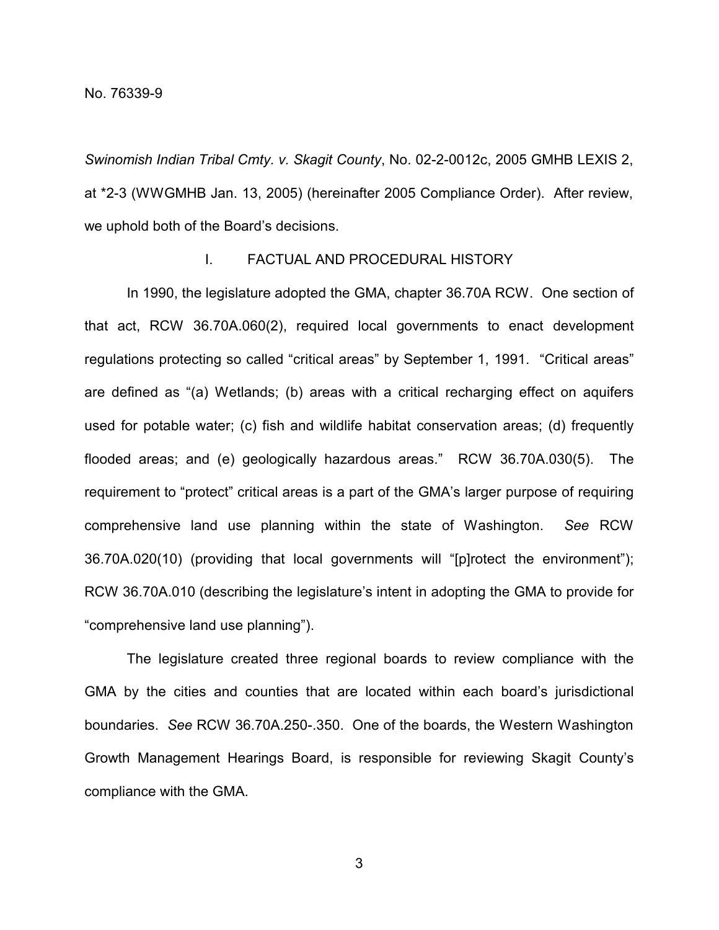*Swinomish Indian Tribal Cmty. v. Skagit County*, No. 02-2-0012c, 2005 GMHB LEXIS 2, at \*2-3 (WWGMHB Jan. 13, 2005) (hereinafter 2005 Compliance Order). After review, we uphold both of the Board's decisions.

# I. FACTUAL AND PROCEDURAL HISTORY

In 1990, the legislature adopted the GMA, chapter 36.70A RCW. One section of that act, RCW 36.70A.060(2), required local governments to enact development regulations protecting so called "critical areas" by September 1, 1991. "Critical areas" are defined as "(a) Wetlands; (b) areas with a critical recharging effect on aquifers used for potable water; (c) fish and wildlife habitat conservation areas; (d) frequently flooded areas; and (e) geologically hazardous areas." RCW 36.70A.030(5). The requirement to "protect" critical areas is a part of the GMA's larger purpose of requiring comprehensive land use planning within the state of Washington. *See* RCW 36.70A.020(10) (providing that local governments will "[p]rotect the environment"); RCW 36.70A.010 (describing the legislature's intent in adopting the GMA to provide for "comprehensive land use planning").

The legislature created three regional boards to review compliance with the GMA by the cities and counties that are located within each board's jurisdictional boundaries. *See* RCW 36.70A.250-.350. One of the boards, the Western Washington Growth Management Hearings Board, is responsible for reviewing Skagit County's compliance with the GMA.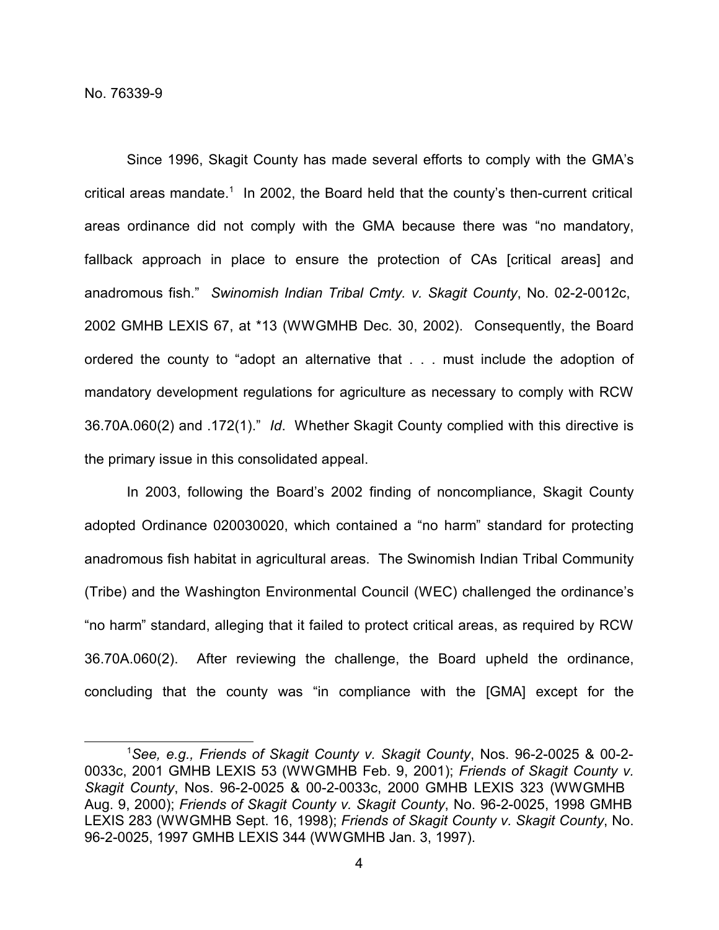Since 1996, Skagit County has made several efforts to comply with the GMA's critical areas mandate. 1 In 2002, the Board held that the county's then-current critical areas ordinance did not comply with the GMA because there was "no mandatory, fallback approach in place to ensure the protection of CAs [critical areas] and anadromous fish." *Swinomish Indian Tribal Cmty. v. Skagit County*, No. 02-2-0012c, 2002 GMHB LEXIS 67, at \*13 (WWGMHB Dec. 30, 2002). Consequently, the Board ordered the county to "adopt an alternative that . . . must include the adoption of mandatory development regulations for agriculture as necessary to comply with RCW 36.70A.060(2) and .172(1)." *Id*. Whether Skagit County complied with this directive is the primary issue in this consolidated appeal.

In 2003, following the Board's 2002 finding of noncompliance, Skagit County adopted Ordinance 020030020, which contained a "no harm" standard for protecting anadromous fish habitat in agricultural areas. The Swinomish Indian Tribal Community (Tribe) and the Washington Environmental Council (WEC) challenged the ordinance's "no harm" standard, alleging that it failed to protect critical areas, as required by RCW 36.70A.060(2). After reviewing the challenge, the Board upheld the ordinance, concluding that the county was "in compliance with the [GMA] except for the

<sup>1</sup>*See, e.g., Friends of Skagit County v. Skagit County*, Nos. 96-2-0025 & 00-2- 0033c, 2001 GMHB LEXIS 53 (WWGMHB Feb. 9, 2001); *Friends of Skagit County v. Skagit County*, Nos. 96-2-0025 & 00-2-0033c, 2000 GMHB LEXIS 323 (WWGMHB Aug. 9, 2000); *Friends of Skagit County v. Skagit County*, No. 96-2-0025, 1998 GMHB LEXIS 283 (WWGMHB Sept. 16, 1998); *Friends of Skagit County v. Skagit County*, No. 96-2-0025, 1997 GMHB LEXIS 344 (WWGMHB Jan. 3, 1997).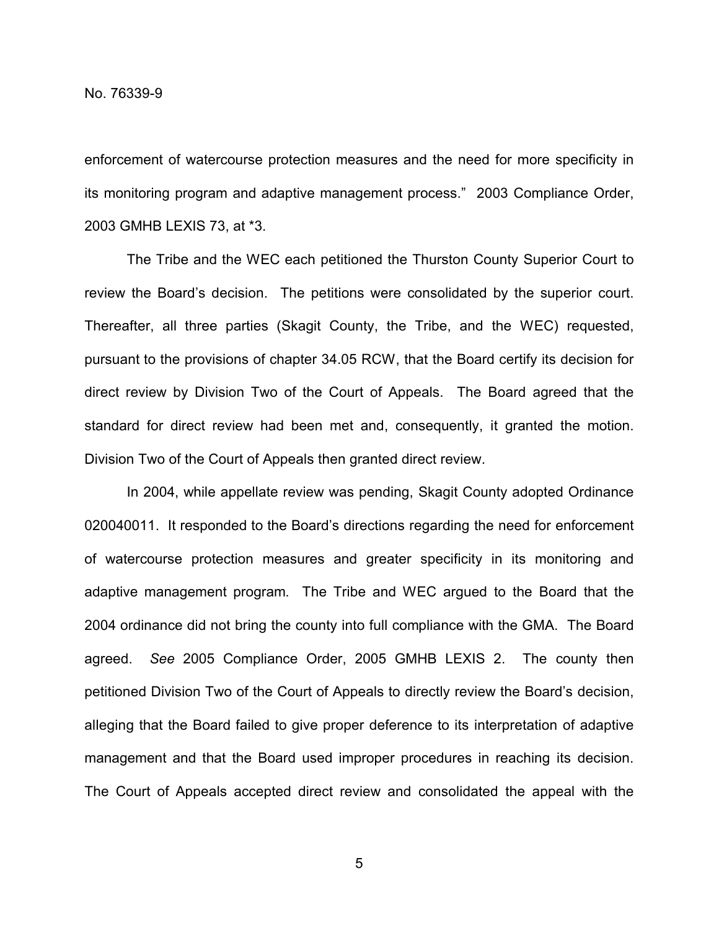enforcement of watercourse protection measures and the need for more specificity in its monitoring program and adaptive management process." 2003 Compliance Order, 2003 GMHB LEXIS 73, at \*3.

The Tribe and the WEC each petitioned the Thurston County Superior Court to review the Board's decision. The petitions were consolidated by the superior court. Thereafter, all three parties (Skagit County, the Tribe, and the WEC) requested, pursuant to the provisions of chapter 34.05 RCW, that the Board certify its decision for direct review by Division Two of the Court of Appeals. The Board agreed that the standard for direct review had been met and, consequently, it granted the motion. Division Two of the Court of Appeals then granted direct review.

In 2004, while appellate review was pending, Skagit County adopted Ordinance 020040011. It responded to the Board's directions regarding the need for enforcement of watercourse protection measures and greater specificity in its monitoring and adaptive management program. The Tribe and WEC argued to the Board that the 2004 ordinance did not bring the county into full compliance with the GMA. The Board agreed. *See* 2005 Compliance Order, 2005 GMHB LEXIS 2. The county then petitioned Division Two of the Court of Appeals to directly review the Board's decision, alleging that the Board failed to give proper deference to its interpretation of adaptive management and that the Board used improper procedures in reaching its decision. The Court of Appeals accepted direct review and consolidated the appeal with the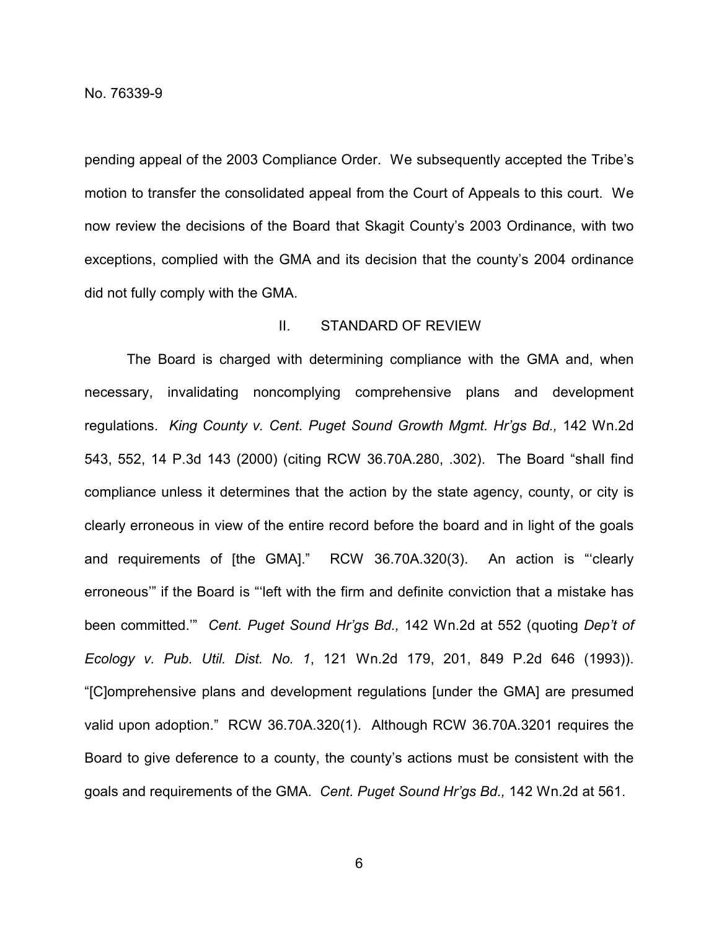pending appeal of the 2003 Compliance Order. We subsequently accepted the Tribe's motion to transfer the consolidated appeal from the Court of Appeals to this court. We now review the decisions of the Board that Skagit County's 2003 Ordinance, with two exceptions, complied with the GMA and its decision that the county's 2004 ordinance did not fully comply with the GMA.

### II. STANDARD OF REVIEW

The Board is charged with determining compliance with the GMA and, when necessary, invalidating noncomplying comprehensive plans and development regulations. *King County v. Cent. Puget Sound Growth Mgmt. Hr'gs Bd.,* 142 Wn.2d 543, 552, 14 P.3d 143 (2000) (citing RCW 36.70A.280, .302). The Board "shall find compliance unless it determines that the action by the state agency, county, or city is clearly erroneous in view of the entire record before the board and in light of the goals and requirements of [the GMA]." RCW 36.70A.320(3). An action is "'clearly erroneous'" if the Board is "'left with the firm and definite conviction that a mistake has been committed.'" *Cent. Puget Sound Hr'gs Bd.,* 142 Wn.2d at 552 (quoting *Dep't of Ecology v. Pub. Util. Dist. No. 1*, 121 Wn.2d 179, 201, 849 P.2d 646 (1993)). "[C]omprehensive plans and development regulations [under the GMA] are presumed valid upon adoption." RCW 36.70A.320(1). Although RCW 36.70A.3201 requires the Board to give deference to a county, the county's actions must be consistent with the goals and requirements of the GMA. *Cent. Puget Sound Hr'gs Bd.,* 142 Wn.2d at 561.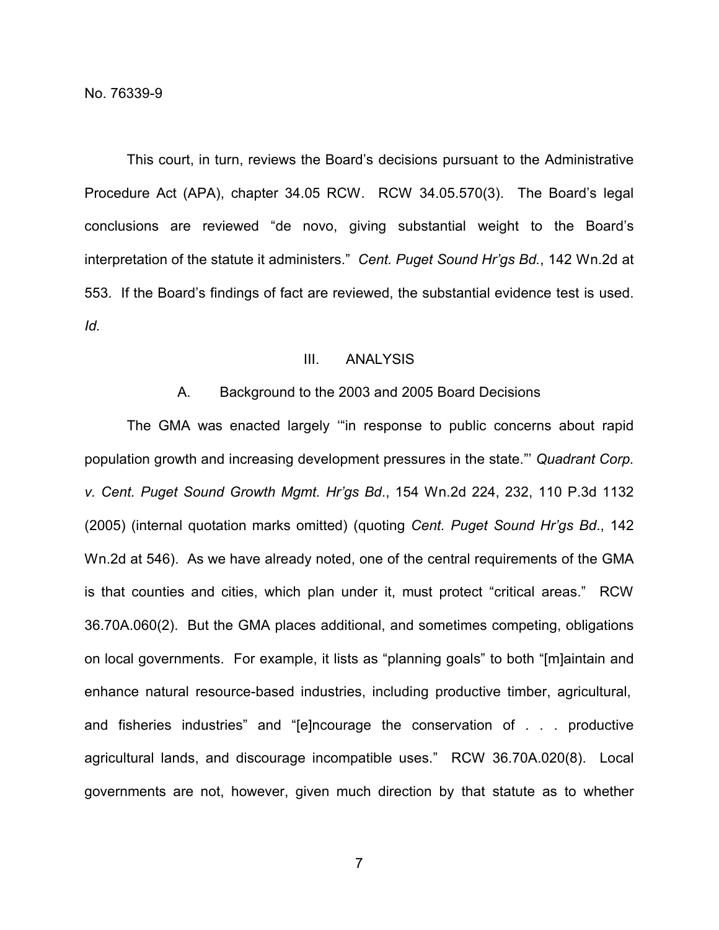This court, in turn, reviews the Board's decisions pursuant to the Administrative Procedure Act (APA), chapter 34.05 RCW. RCW 34.05.570(3). The Board's legal conclusions are reviewed "de novo, giving substantial weight to the Board's interpretation of the statute it administers." *Cent. Puget Sound Hr'gs Bd.*, 142 Wn.2d at 553. If the Board's findings of fact are reviewed, the substantial evidence test is used. *Id.*

### III. ANALYSIS

#### A. Background to the 2003 and 2005 Board Decisions

The GMA was enacted largely '"in response to public concerns about rapid population growth and increasing development pressures in the state."' *Quadrant Corp. v. Cent. Puget Sound Growth Mgmt. Hr'gs Bd*., 154 Wn.2d 224, 232, 110 P.3d 1132 (2005) (internal quotation marks omitted) (quoting *Cent. Puget Sound Hr'gs Bd*., 142 Wn.2d at 546). As we have already noted, one of the central requirements of the GMA is that counties and cities, which plan under it, must protect "critical areas." RCW 36.70A.060(2). But the GMA places additional, and sometimes competing, obligations on local governments. For example, it lists as "planning goals" to both "[m]aintain and enhance natural resource-based industries, including productive timber, agricultural, and fisheries industries" and "[e]ncourage the conservation of . . . productive agricultural lands, and discourage incompatible uses." RCW 36.70A.020(8). Local governments are not, however, given much direction by that statute as to whether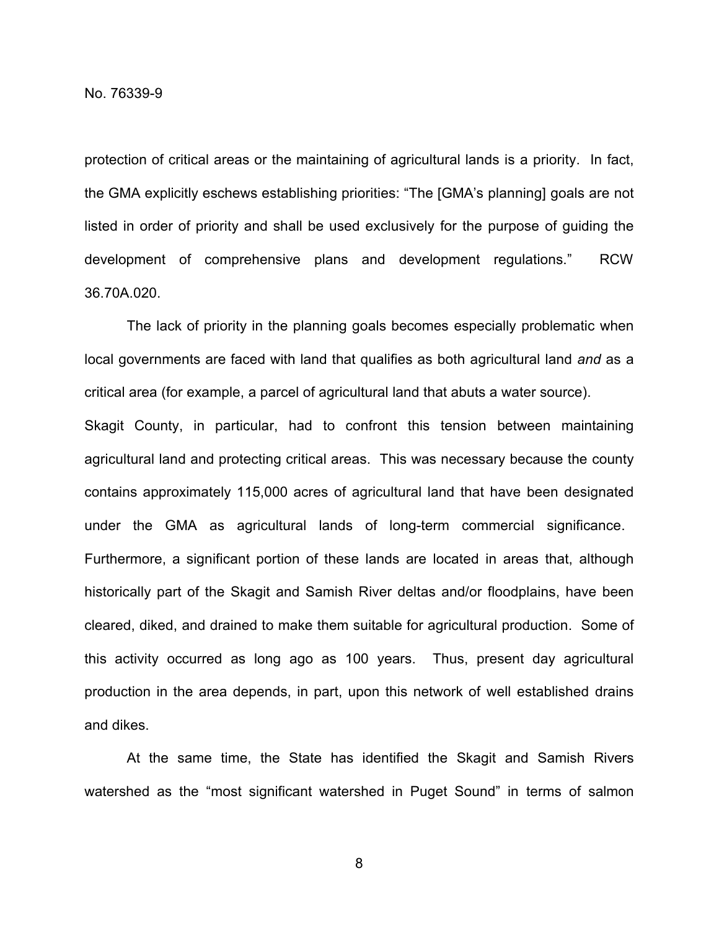protection of critical areas or the maintaining of agricultural lands is a priority. In fact, the GMA explicitly eschews establishing priorities: "The [GMA's planning] goals are not listed in order of priority and shall be used exclusively for the purpose of guiding the development of comprehensive plans and development regulations." RCW 36.70A.020.

The lack of priority in the planning goals becomes especially problematic when local governments are faced with land that qualifies as both agricultural land *and* as a critical area (for example, a parcel of agricultural land that abuts a water source). Skagit County, in particular, had to confront this tension between maintaining agricultural land and protecting critical areas. This was necessary because the county contains approximately 115,000 acres of agricultural land that have been designated under the GMA as agricultural lands of long-term commercial significance. Furthermore, a significant portion of these lands are located in areas that, although historically part of the Skagit and Samish River deltas and/or floodplains, have been cleared, diked, and drained to make them suitable for agricultural production. Some of this activity occurred as long ago as 100 years. Thus, present day agricultural production in the area depends, in part, upon this network of well established drains and dikes.

At the same time, the State has identified the Skagit and Samish Rivers watershed as the "most significant watershed in Puget Sound" in terms of salmon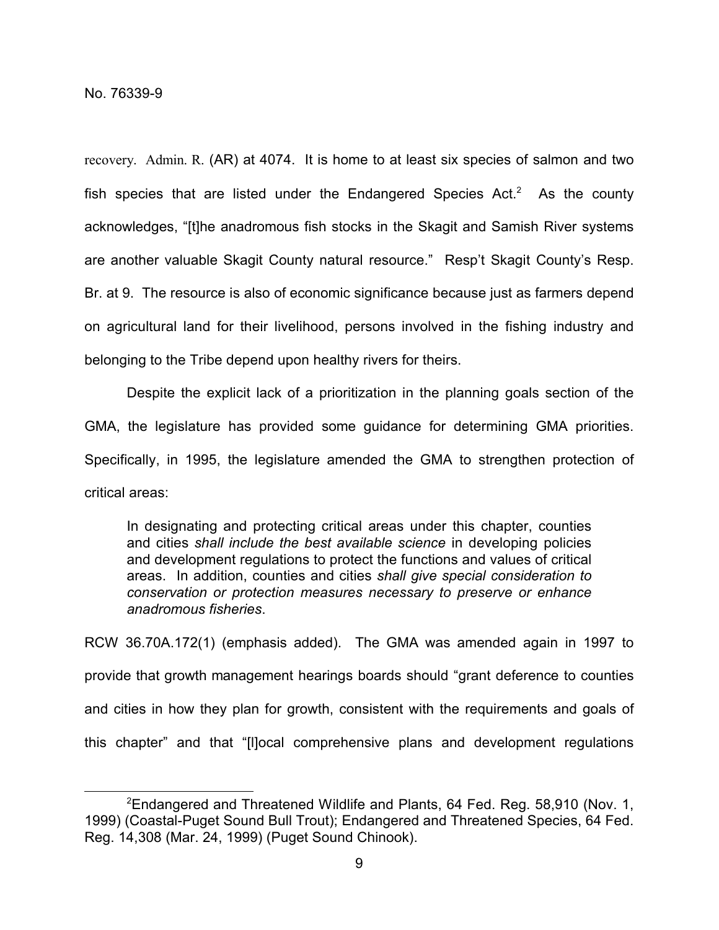recovery. Admin. R. (AR) at 4074. It is home to at least six species of salmon and two fish species that are listed under the Endangered Species Act.<sup>2</sup> As the county acknowledges, "[t]he anadromous fish stocks in the Skagit and Samish River systems are another valuable Skagit County natural resource." Resp't Skagit County's Resp. Br. at 9. The resource is also of economic significance because just as farmers depend on agricultural land for their livelihood, persons involved in the fishing industry and belonging to the Tribe depend upon healthy rivers for theirs.

Despite the explicit lack of a prioritization in the planning goals section of the GMA, the legislature has provided some guidance for determining GMA priorities. Specifically, in 1995, the legislature amended the GMA to strengthen protection of critical areas:

In designating and protecting critical areas under this chapter, counties and cities *shall include the best available science* in developing policies and development regulations to protect the functions and values of critical areas. In addition, counties and cities *shall give special consideration to conservation or protection measures necessary to preserve or enhance anadromous fisheries*.

RCW 36.70A.172(1) (emphasis added). The GMA was amended again in 1997 to provide that growth management hearings boards should "grant deference to counties and cities in how they plan for growth, consistent with the requirements and goals of this chapter" and that "[l]ocal comprehensive plans and development regulations

<sup>2</sup>Endangered and Threatened Wildlife and Plants, 64 Fed. Reg. 58,910 (Nov. 1, 1999) (Coastal-Puget Sound Bull Trout); Endangered and Threatened Species, 64 Fed. Reg. 14,308 (Mar. 24, 1999) (Puget Sound Chinook).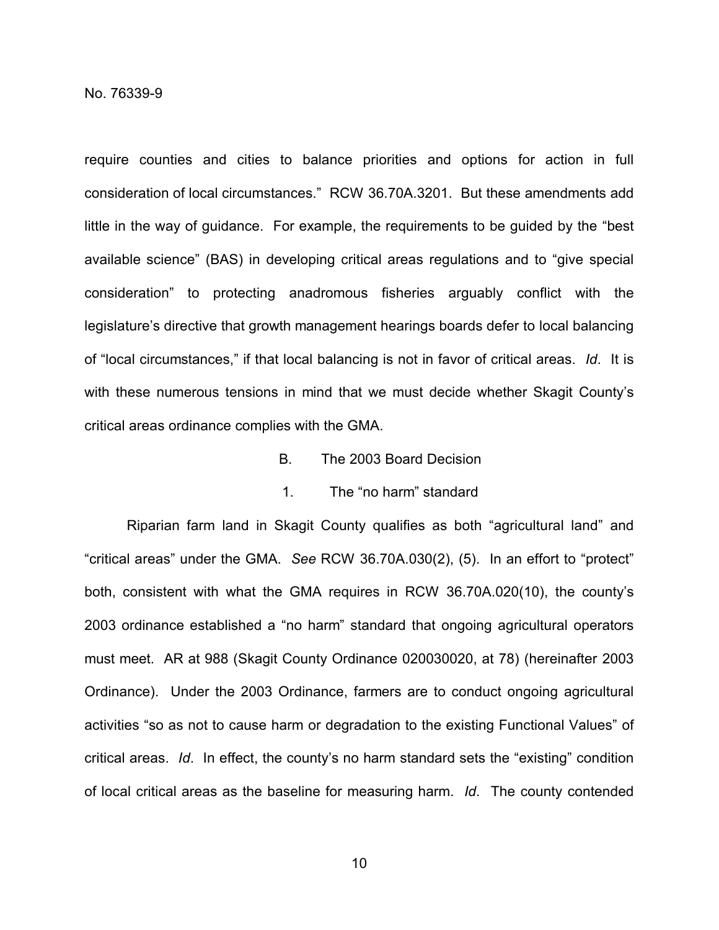require counties and cities to balance priorities and options for action in full consideration of local circumstances." RCW 36.70A.3201. But these amendments add little in the way of guidance. For example, the requirements to be guided by the "best available science" (BAS) in developing critical areas regulations and to "give special consideration" to protecting anadromous fisheries arguably conflict with the legislature's directive that growth management hearings boards defer to local balancing of "local circumstances," if that local balancing is not in favor of critical areas. *Id*. It is with these numerous tensions in mind that we must decide whether Skagit County's critical areas ordinance complies with the GMA.

B. The 2003 Board Decision

# 1. The "no harm" standard

Riparian farm land in Skagit County qualifies as both "agricultural land" and "critical areas" under the GMA. *See* RCW 36.70A.030(2), (5). In an effort to "protect" both, consistent with what the GMA requires in RCW 36.70A.020(10), the county's 2003 ordinance established a "no harm" standard that ongoing agricultural operators must meet. AR at 988 (Skagit County Ordinance 020030020, at 78) (hereinafter 2003 Ordinance). Under the 2003 Ordinance, farmers are to conduct ongoing agricultural activities "so as not to cause harm or degradation to the existing Functional Values" of critical areas. *Id*. In effect, the county's no harm standard sets the "existing" condition of local critical areas as the baseline for measuring harm. *Id*. The county contended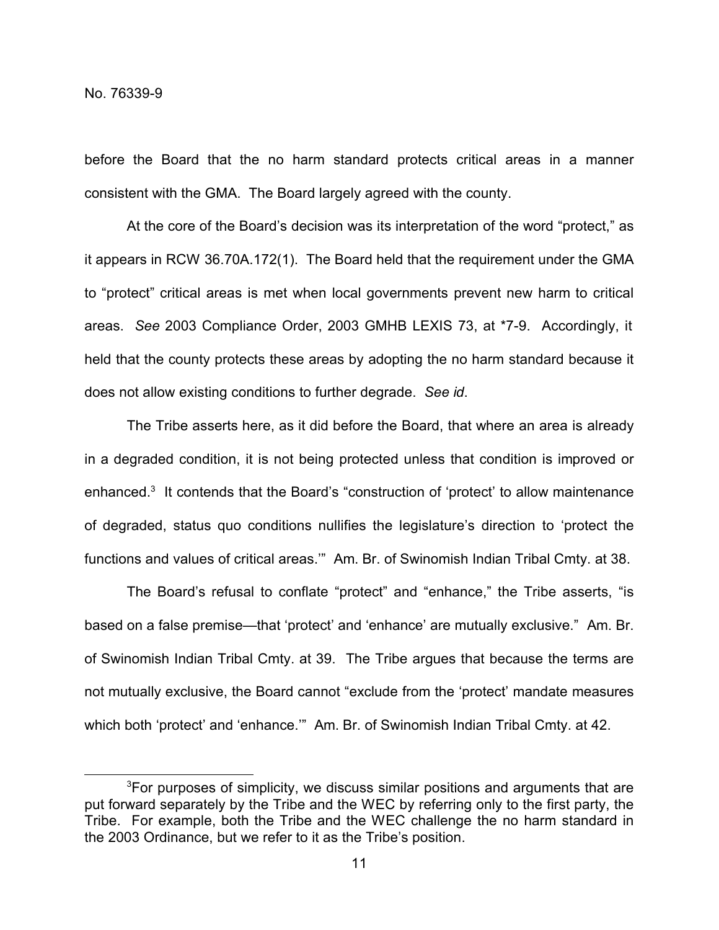before the Board that the no harm standard protects critical areas in a manner consistent with the GMA. The Board largely agreed with the county.

At the core of the Board's decision was its interpretation of the word "protect," as it appears in RCW 36.70A.172(1). The Board held that the requirement under the GMA to "protect" critical areas is met when local governments prevent new harm to critical areas. *See* 2003 Compliance Order, 2003 GMHB LEXIS 73, at \*7-9. Accordingly, it held that the county protects these areas by adopting the no harm standard because it does not allow existing conditions to further degrade. *See id*.

The Tribe asserts here, as it did before the Board, that where an area is already in a degraded condition, it is not being protected unless that condition is improved or enhanced.<sup>3</sup> It contends that the Board's "construction of 'protect' to allow maintenance of degraded, status quo conditions nullifies the legislature's direction to 'protect the functions and values of critical areas.'" Am. Br. of Swinomish Indian Tribal Cmty. at 38.

The Board's refusal to conflate "protect" and "enhance," the Tribe asserts, "is based on a false premise—that 'protect' and 'enhance' are mutually exclusive." Am. Br. of Swinomish Indian Tribal Cmty. at 39. The Tribe argues that because the terms are not mutually exclusive, the Board cannot "exclude from the 'protect' mandate measures which both 'protect' and 'enhance.'" Am. Br. of Swinomish Indian Tribal Cmty. at 42.

<sup>&</sup>lt;sup>3</sup>For purposes of simplicity, we discuss similar positions and arguments that are put forward separately by the Tribe and the WEC by referring only to the first party, the Tribe. For example, both the Tribe and the WEC challenge the no harm standard in the 2003 Ordinance, but we refer to it as the Tribe's position.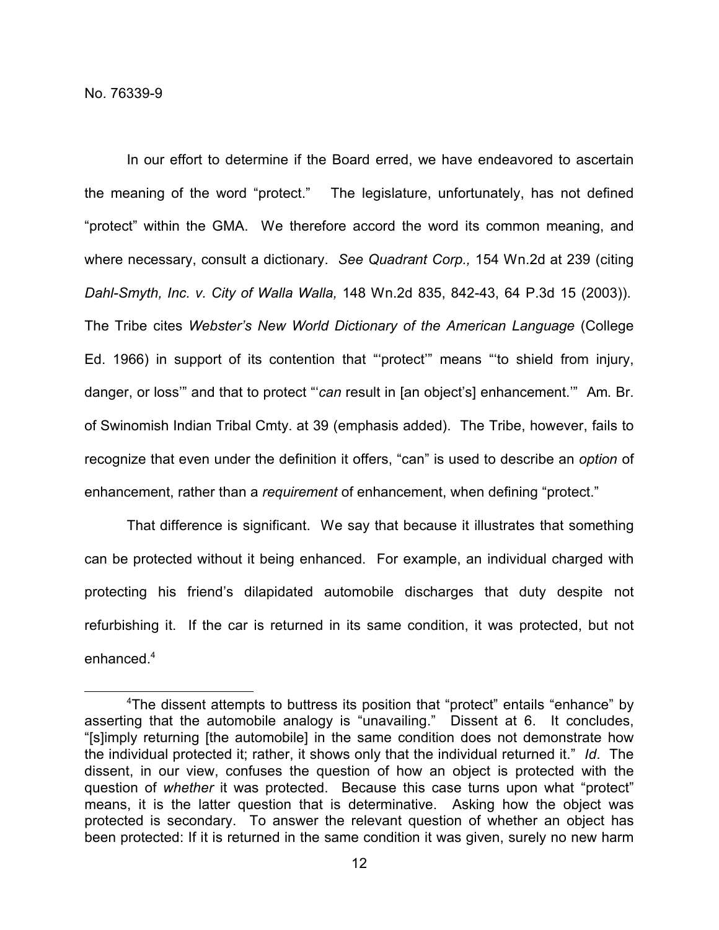In our effort to determine if the Board erred, we have endeavored to ascertain the meaning of the word "protect." The legislature, unfortunately, has not defined "protect" within the GMA. We therefore accord the word its common meaning, and where necessary, consult a dictionary. *See Quadrant Corp.,* 154 Wn.2d at 239 (citing *Dahl-Smyth, Inc. v. City of Walla Walla,* 148 Wn.2d 835, 842-43, 64 P.3d 15 (2003)). The Tribe cites *Webster's New World Dictionary of the American Language* (College Ed. 1966) in support of its contention that "'protect'" means "'to shield from injury, danger, or loss'" and that to protect "'*can* result in [an object's] enhancement.'" Am. Br. of Swinomish Indian Tribal Cmty. at 39 (emphasis added). The Tribe, however, fails to recognize that even under the definition it offers, "can" is used to describe an *option* of enhancement, rather than a *requirement* of enhancement, when defining "protect."

That difference is significant. We say that because it illustrates that something can be protected without it being enhanced. For example, an individual charged with protecting his friend's dilapidated automobile discharges that duty despite not refurbishing it. If the car is returned in its same condition, it was protected, but not enhanced $4$ 

<sup>4</sup>The dissent attempts to buttress its position that "protect" entails "enhance" by asserting that the automobile analogy is "unavailing." Dissent at 6. It concludes, "[s]imply returning [the automobile] in the same condition does not demonstrate how the individual protected it; rather, it shows only that the individual returned it." *Id*. The dissent, in our view, confuses the question of how an object is protected with the question of *whether* it was protected. Because this case turns upon what "protect" means, it is the latter question that is determinative. Asking how the object was protected is secondary. To answer the relevant question of whether an object has been protected: If it is returned in the same condition it was given, surely no new harm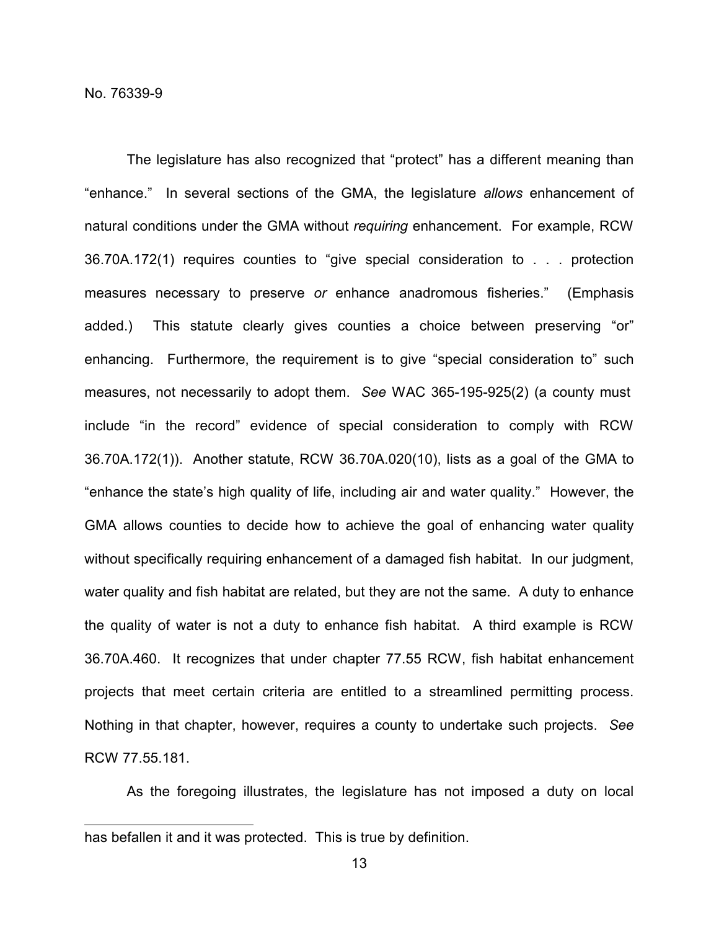The legislature has also recognized that "protect" has a different meaning than "enhance." In several sections of the GMA, the legislature *allows* enhancement of natural conditions under the GMA without *requiring* enhancement. For example, RCW 36.70A.172(1) requires counties to "give special consideration to . . . protection measures necessary to preserve *or* enhance anadromous fisheries." (Emphasis added.) This statute clearly gives counties a choice between preserving "or" enhancing. Furthermore, the requirement is to give "special consideration to" such measures, not necessarily to adopt them. *See* WAC 365-195-925(2) (a county must include "in the record" evidence of special consideration to comply with RCW 36.70A.172(1)). Another statute, RCW 36.70A.020(10), lists as a goal of the GMA to "enhance the state's high quality of life, including air and water quality." However, the GMA allows counties to decide how to achieve the goal of enhancing water quality without specifically requiring enhancement of a damaged fish habitat. In our judgment, water quality and fish habitat are related, but they are not the same. A duty to enhance the quality of water is not a duty to enhance fish habitat. A third example is RCW 36.70A.460. It recognizes that under chapter 77.55 RCW, fish habitat enhancement projects that meet certain criteria are entitled to a streamlined permitting process. Nothing in that chapter, however, requires a county to undertake such projects. *See* RCW 77.55.181.

As the foregoing illustrates, the legislature has not imposed a duty on local

has befallen it and it was protected. This is true by definition.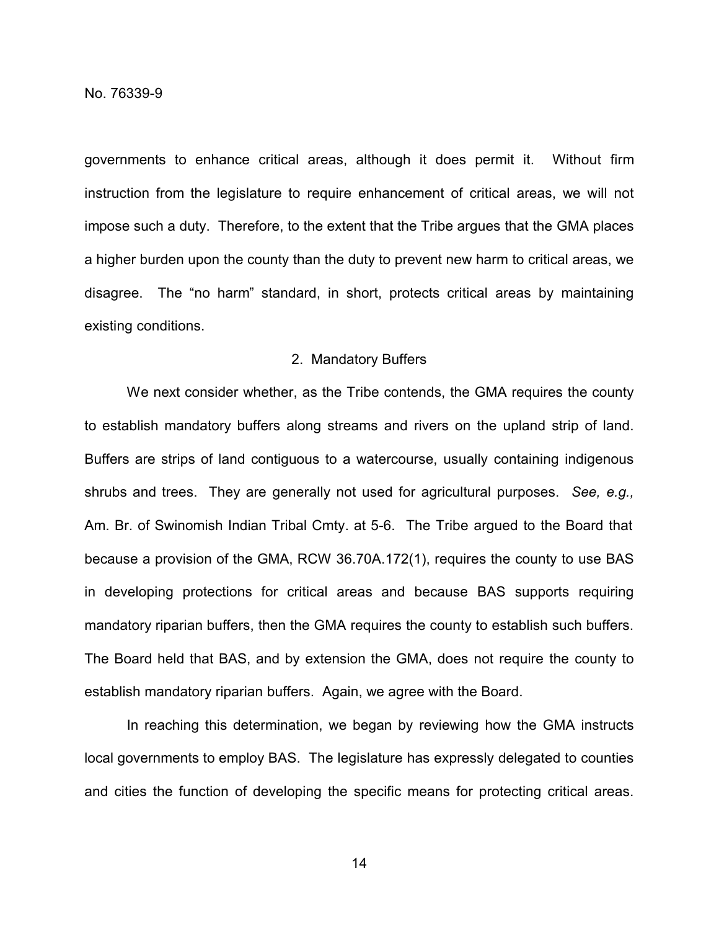governments to enhance critical areas, although it does permit it. Without firm instruction from the legislature to require enhancement of critical areas, we will not impose such a duty. Therefore, to the extent that the Tribe argues that the GMA places a higher burden upon the county than the duty to prevent new harm to critical areas, we disagree. The "no harm" standard, in short, protects critical areas by maintaining existing conditions.

#### 2. Mandatory Buffers

We next consider whether, as the Tribe contends, the GMA requires the county to establish mandatory buffers along streams and rivers on the upland strip of land. Buffers are strips of land contiguous to a watercourse, usually containing indigenous shrubs and trees. They are generally not used for agricultural purposes. *See, e.g.,* Am. Br. of Swinomish Indian Tribal Cmty. at 5-6. The Tribe argued to the Board that because a provision of the GMA, RCW 36.70A.172(1), requires the county to use BAS in developing protections for critical areas and because BAS supports requiring mandatory riparian buffers, then the GMA requires the county to establish such buffers. The Board held that BAS, and by extension the GMA, does not require the county to establish mandatory riparian buffers. Again, we agree with the Board.

In reaching this determination, we began by reviewing how the GMA instructs local governments to employ BAS. The legislature has expressly delegated to counties and cities the function of developing the specific means for protecting critical areas.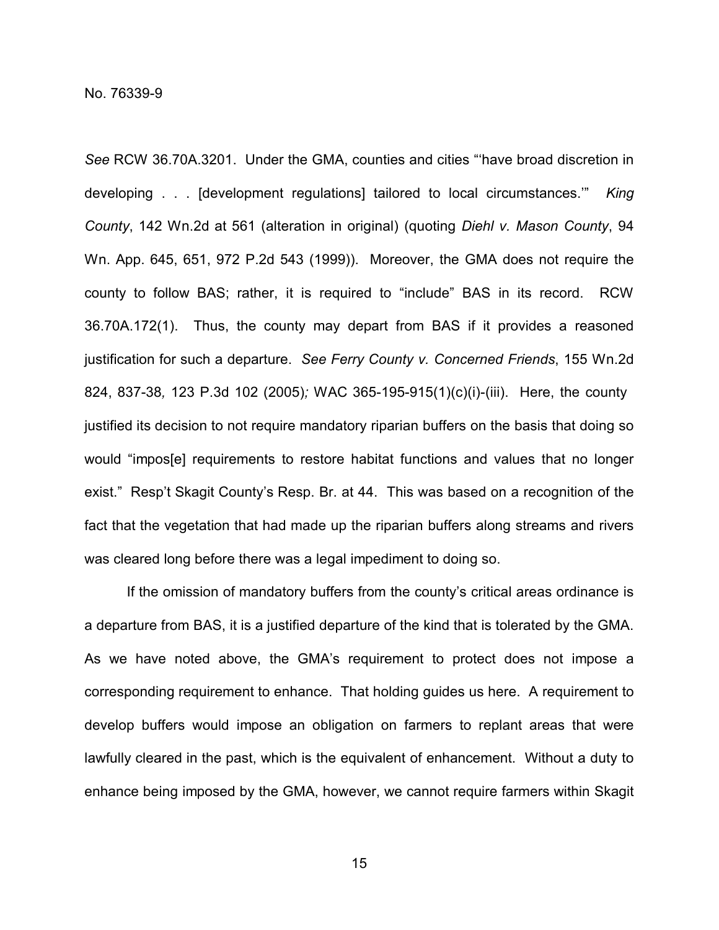*See* RCW 36.70A.3201. Under the GMA, counties and cities "'have broad discretion in developing . . . [development regulations] tailored to local circumstances.'" *King County*, 142 Wn.2d at 561 (alteration in original) (quoting *Diehl v. Mason County*, 94 Wn. App. 645, 651, 972 P.2d 543 (1999)). Moreover, the GMA does not require the county to follow BAS; rather, it is required to "include" BAS in its record. RCW 36.70A.172(1). Thus, the county may depart from BAS if it provides a reasoned justification for such a departure. *See Ferry County v. Concerned Friends*, 155 Wn.2d 824, 837-38*,* 123 P.3d 102 (2005)*;* WAC 365-195-915(1)(c)(i)-(iii). Here, the county justified its decision to not require mandatory riparian buffers on the basis that doing so would "impos[e] requirements to restore habitat functions and values that no longer exist." Resp't Skagit County's Resp. Br. at 44. This was based on a recognition of the fact that the vegetation that had made up the riparian buffers along streams and rivers was cleared long before there was a legal impediment to doing so.

If the omission of mandatory buffers from the county's critical areas ordinance is a departure from BAS, it is a justified departure of the kind that is tolerated by the GMA. As we have noted above, the GMA's requirement to protect does not impose a corresponding requirement to enhance. That holding guides us here. A requirement to develop buffers would impose an obligation on farmers to replant areas that were lawfully cleared in the past, which is the equivalent of enhancement. Without a duty to enhance being imposed by the GMA, however, we cannot require farmers within Skagit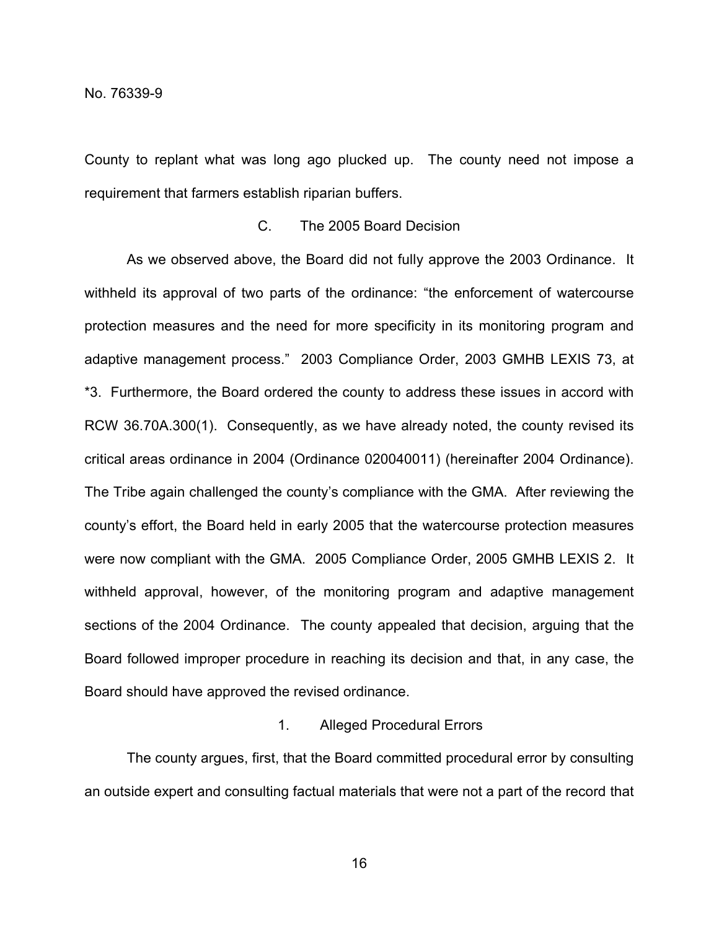County to replant what was long ago plucked up. The county need not impose a requirement that farmers establish riparian buffers.

# C. The 2005 Board Decision

As we observed above, the Board did not fully approve the 2003 Ordinance. It withheld its approval of two parts of the ordinance: "the enforcement of watercourse protection measures and the need for more specificity in its monitoring program and adaptive management process." 2003 Compliance Order, 2003 GMHB LEXIS 73, at \*3. Furthermore, the Board ordered the county to address these issues in accord with RCW 36.70A.300(1). Consequently, as we have already noted, the county revised its critical areas ordinance in 2004 (Ordinance 020040011) (hereinafter 2004 Ordinance). The Tribe again challenged the county's compliance with the GMA. After reviewing the county's effort, the Board held in early 2005 that the watercourse protection measures were now compliant with the GMA. 2005 Compliance Order, 2005 GMHB LEXIS 2. It withheld approval, however, of the monitoring program and adaptive management sections of the 2004 Ordinance. The county appealed that decision, arguing that the Board followed improper procedure in reaching its decision and that, in any case, the Board should have approved the revised ordinance.

# 1. Alleged Procedural Errors

The county argues, first, that the Board committed procedural error by consulting an outside expert and consulting factual materials that were not a part of the record that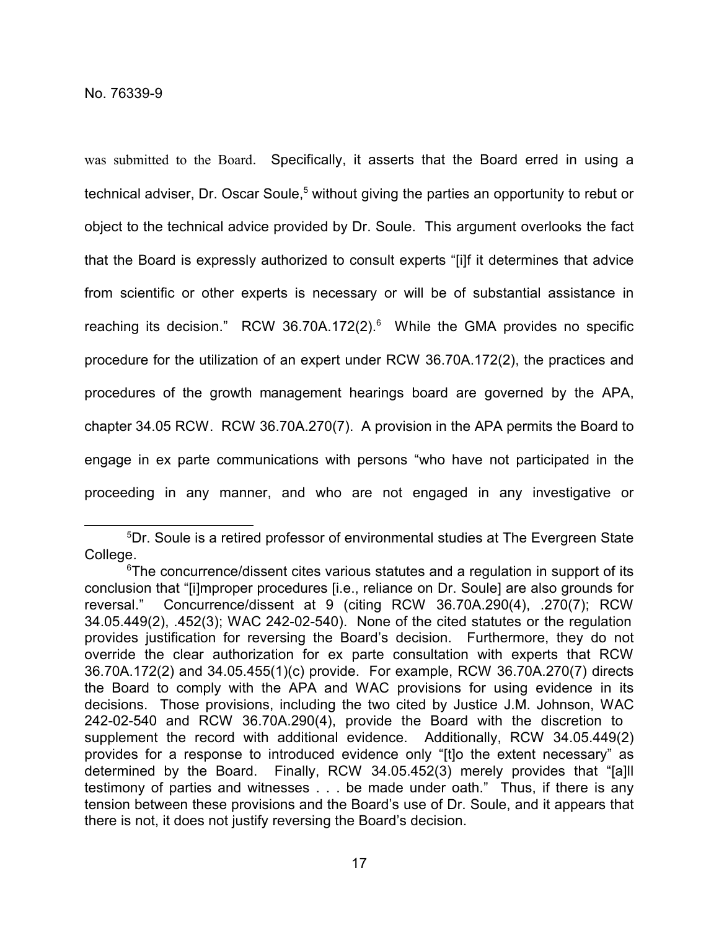was submitted to the Board. Specifically, it asserts that the Board erred in using a technical adviser, Dr. Oscar Soule, <sup>5</sup> without giving the parties an opportunity to rebut or object to the technical advice provided by Dr. Soule. This argument overlooks the fact that the Board is expressly authorized to consult experts "[i]f it determines that advice from scientific or other experts is necessary or will be of substantial assistance in reaching its decision." RCW 36.70A.172(2). $^6$  While the GMA provides no specific procedure for the utilization of an expert under RCW 36.70A.172(2), the practices and procedures of the growth management hearings board are governed by the APA, chapter 34.05 RCW. RCW 36.70A.270(7). A provision in the APA permits the Board to engage in ex parte communications with persons "who have not participated in the proceeding in any manner, and who are not engaged in any investigative or

<sup>5</sup>Dr. Soule is a retired professor of environmental studies at The Evergreen State College.

 $6$ The concurrence/dissent cites various statutes and a requlation in support of its conclusion that "[i]mproper procedures [i.e., reliance on Dr. Soule] are also grounds for reversal." Concurrence/dissent at 9 (citing RCW 36.70A.290(4), .270(7); RCW 34.05.449(2), .452(3); WAC 242-02-540). None of the cited statutes or the regulation provides justification for reversing the Board's decision. Furthermore, they do not override the clear authorization for ex parte consultation with experts that RCW 36.70A.172(2) and 34.05.455(1)(c) provide. For example, RCW 36.70A.270(7) directs the Board to comply with the APA and WAC provisions for using evidence in its decisions. Those provisions, including the two cited by Justice J.M. Johnson, WAC 242-02-540 and RCW 36.70A.290(4), provide the Board with the discretion to supplement the record with additional evidence. Additionally, RCW 34.05.449(2) provides for a response to introduced evidence only "[t]o the extent necessary" as determined by the Board. Finally, RCW 34.05.452(3) merely provides that "[a]ll testimony of parties and witnesses . . . be made under oath." Thus, if there is any tension between these provisions and the Board's use of Dr. Soule, and it appears that there is not, it does not justify reversing the Board's decision.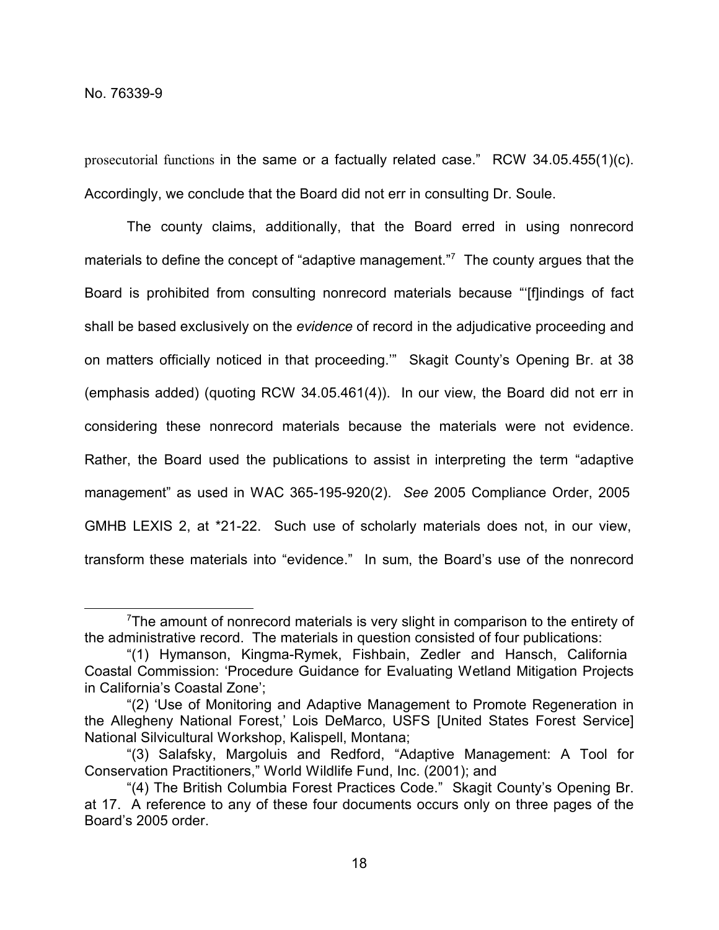prosecutorial functions in the same or a factually related case." RCW 34.05.455(1)(c). Accordingly, we conclude that the Board did not err in consulting Dr. Soule.

The county claims, additionally, that the Board erred in using nonrecord materials to define the concept of "adaptive management."<sup>7</sup> The county argues that the Board is prohibited from consulting nonrecord materials because "'[f]indings of fact shall be based exclusively on the *evidence* of record in the adjudicative proceeding and on matters officially noticed in that proceeding.'" Skagit County's Opening Br. at 38 (emphasis added) (quoting RCW 34.05.461(4)). In our view, the Board did not err in considering these nonrecord materials because the materials were not evidence. Rather, the Board used the publications to assist in interpreting the term "adaptive management" as used in WAC 365-195-920(2). *See* 2005 Compliance Order, 2005 GMHB LEXIS 2, at \*21-22. Such use of scholarly materials does not, in our view, transform these materials into "evidence." In sum, the Board's use of the nonrecord

<sup>&</sup>lt;sup>7</sup>The amount of nonrecord materials is very slight in comparison to the entirety of the administrative record. The materials in question consisted of four publications:

<sup>&</sup>quot;(1) Hymanson, Kingma-Rymek, Fishbain, Zedler and Hansch, California Coastal Commission: 'Procedure Guidance for Evaluating Wetland Mitigation Projects in California's Coastal Zone';

<sup>&</sup>quot;(2) 'Use of Monitoring and Adaptive Management to Promote Regeneration in the Allegheny National Forest,' Lois DeMarco, USFS [United States Forest Service] National Silvicultural Workshop, Kalispell, Montana;

<sup>&</sup>quot;(3) Salafsky, Margoluis and Redford, "Adaptive Management: A Tool for Conservation Practitioners," World Wildlife Fund, Inc. (2001); and

<sup>&</sup>quot;(4) The British Columbia Forest Practices Code." Skagit County's Opening Br. at 17. A reference to any of these four documents occurs only on three pages of the Board's 2005 order.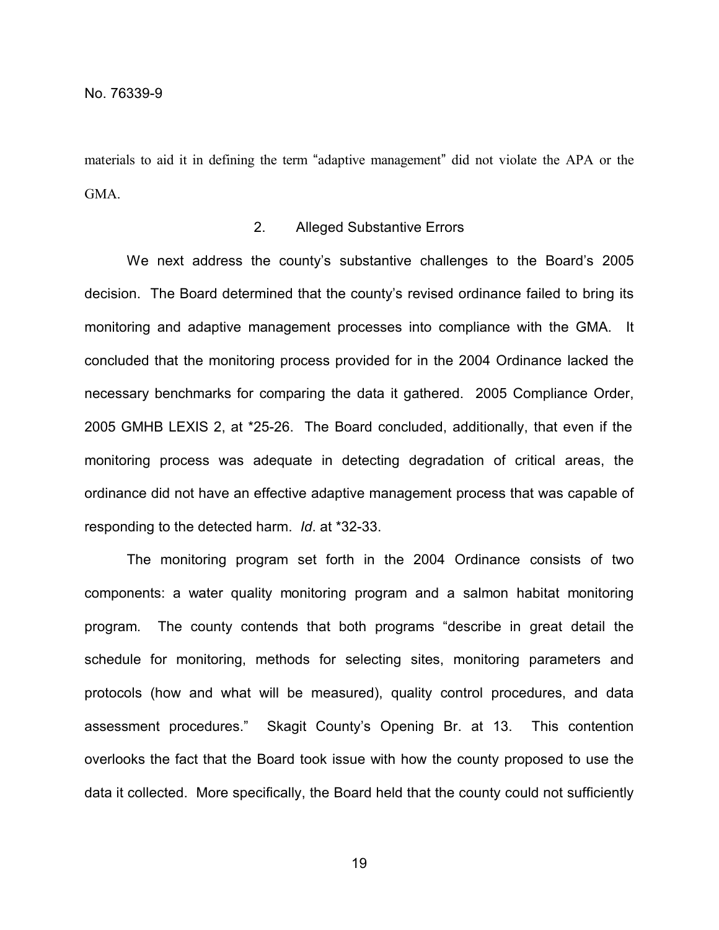materials to aid it in defining the term "adaptive management" did not violate the APA or the GMA.

# 2. Alleged Substantive Errors

We next address the county's substantive challenges to the Board's 2005 decision. The Board determined that the county's revised ordinance failed to bring its monitoring and adaptive management processes into compliance with the GMA. It concluded that the monitoring process provided for in the 2004 Ordinance lacked the necessary benchmarks for comparing the data it gathered. 2005 Compliance Order, 2005 GMHB LEXIS 2, at \*25-26. The Board concluded, additionally, that even if the monitoring process was adequate in detecting degradation of critical areas, the ordinance did not have an effective adaptive management process that was capable of responding to the detected harm. *Id*. at \*32-33.

The monitoring program set forth in the 2004 Ordinance consists of two components: a water quality monitoring program and a salmon habitat monitoring program. The county contends that both programs "describe in great detail the schedule for monitoring, methods for selecting sites, monitoring parameters and protocols (how and what will be measured), quality control procedures, and data assessment procedures." Skagit County's Opening Br. at 13. This contention overlooks the fact that the Board took issue with how the county proposed to use the data it collected. More specifically, the Board held that the county could not sufficiently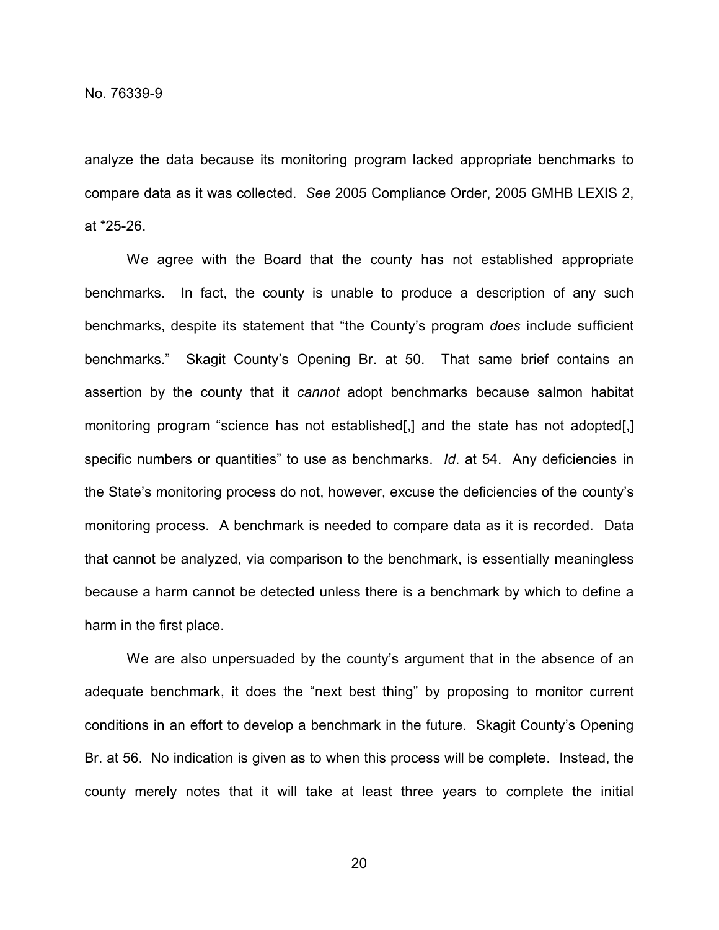analyze the data because its monitoring program lacked appropriate benchmarks to compare data as it was collected. *See* 2005 Compliance Order, 2005 GMHB LEXIS 2, at \*25-26.

We agree with the Board that the county has not established appropriate benchmarks. In fact, the county is unable to produce a description of any such benchmarks, despite its statement that "the County's program *does* include sufficient benchmarks." Skagit County's Opening Br. at 50. That same brief contains an assertion by the county that it *cannot* adopt benchmarks because salmon habitat monitoring program "science has not established[,] and the state has not adopted[,] specific numbers or quantities" to use as benchmarks. *Id*. at 54. Any deficiencies in the State's monitoring process do not, however, excuse the deficiencies of the county's monitoring process. A benchmark is needed to compare data as it is recorded. Data that cannot be analyzed, via comparison to the benchmark, is essentially meaningless because a harm cannot be detected unless there is a benchmark by which to define a harm in the first place.

We are also unpersuaded by the county's argument that in the absence of an adequate benchmark, it does the "next best thing" by proposing to monitor current conditions in an effort to develop a benchmark in the future. Skagit County's Opening Br. at 56. No indication is given as to when this process will be complete. Instead, the county merely notes that it will take at least three years to complete the initial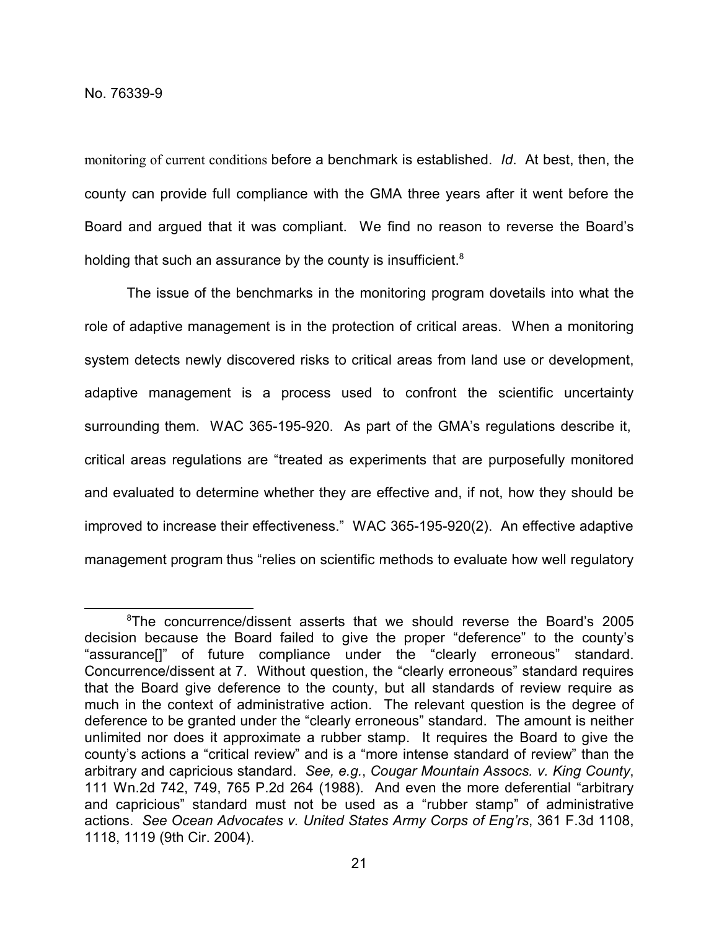monitoring of current conditions before a benchmark is established. *Id*. At best, then, the county can provide full compliance with the GMA three years after it went before the Board and argued that it was compliant. We find no reason to reverse the Board's holding that such an assurance by the county is insufficient.<sup>8</sup>

The issue of the benchmarks in the monitoring program dovetails into what the role of adaptive management is in the protection of critical areas. When a monitoring system detects newly discovered risks to critical areas from land use or development, adaptive management is a process used to confront the scientific uncertainty surrounding them. WAC 365-195-920. As part of the GMA's regulations describe it, critical areas regulations are "treated as experiments that are purposefully monitored and evaluated to determine whether they are effective and, if not, how they should be improved to increase their effectiveness." WAC 365-195-920(2). An effective adaptive management program thus "relies on scientific methods to evaluate how well regulatory

<sup>8</sup>The concurrence/dissent asserts that we should reverse the Board's 2005 decision because the Board failed to give the proper "deference" to the county's "assurance[]" of future compliance under the "clearly erroneous" standard. Concurrence/dissent at 7. Without question, the "clearly erroneous" standard requires that the Board give deference to the county, but all standards of review require as much in the context of administrative action. The relevant question is the degree of deference to be granted under the "clearly erroneous" standard. The amount is neither unlimited nor does it approximate a rubber stamp. It requires the Board to give the county's actions a "critical review" and is a "more intense standard of review" than the arbitrary and capricious standard. *See, e.g.*, *Cougar Mountain Assocs. v. King County*, 111 Wn.2d 742, 749, 765 P.2d 264 (1988). And even the more deferential "arbitrary and capricious" standard must not be used as a "rubber stamp" of administrative actions. *See Ocean Advocates v. United States Army Corps of Eng'rs*, 361 F.3d 1108, 1118, 1119 (9th Cir. 2004).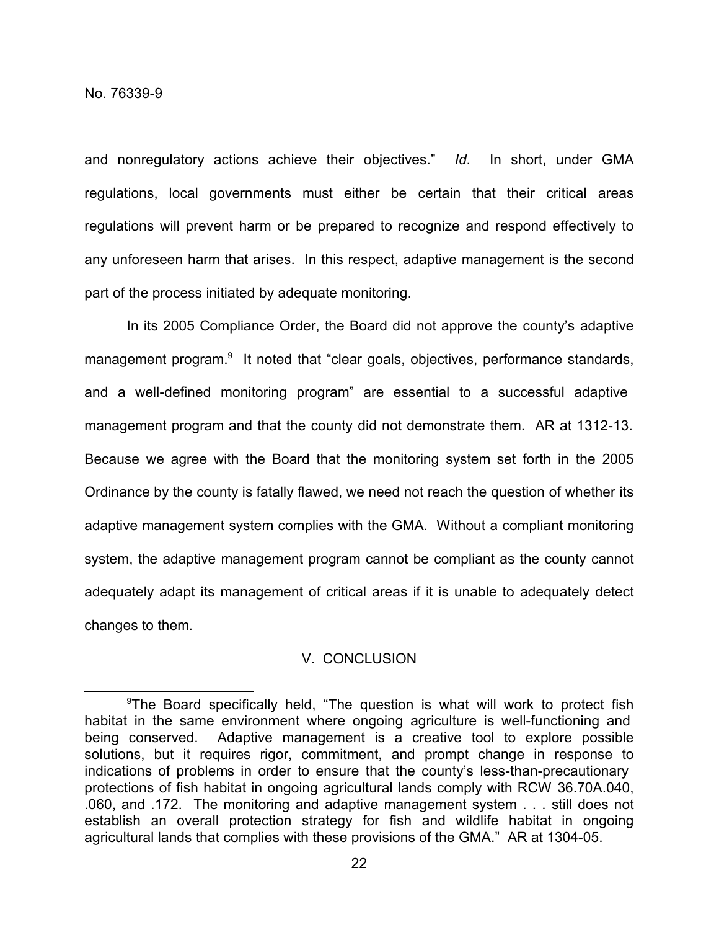and nonregulatory actions achieve their objectives." *Id*. In short, under GMA regulations, local governments must either be certain that their critical areas regulations will prevent harm or be prepared to recognize and respond effectively to any unforeseen harm that arises. In this respect, adaptive management is the second part of the process initiated by adequate monitoring.

In its 2005 Compliance Order, the Board did not approve the county's adaptive management program.<sup>9</sup> It noted that "clear goals, objectives, performance standards, and a well-defined monitoring program" are essential to a successful adaptive management program and that the county did not demonstrate them. AR at 1312-13. Because we agree with the Board that the monitoring system set forth in the 2005 Ordinance by the county is fatally flawed, we need not reach the question of whether its adaptive management system complies with the GMA. Without a compliant monitoring system, the adaptive management program cannot be compliant as the county cannot adequately adapt its management of critical areas if it is unable to adequately detect changes to them.

# V. CONCLUSION

<sup>&</sup>lt;sup>9</sup>The Board specifically held, "The question is what will work to protect fish habitat in the same environment where ongoing agriculture is well-functioning and being conserved. Adaptive management is a creative tool to explore possible solutions, but it requires rigor, commitment, and prompt change in response to indications of problems in order to ensure that the county's less-than-precautionary protections of fish habitat in ongoing agricultural lands comply with RCW 36.70A.040, .060, and .172. The monitoring and adaptive management system . . . still does not establish an overall protection strategy for fish and wildlife habitat in ongoing agricultural lands that complies with these provisions of the GMA." AR at 1304-05.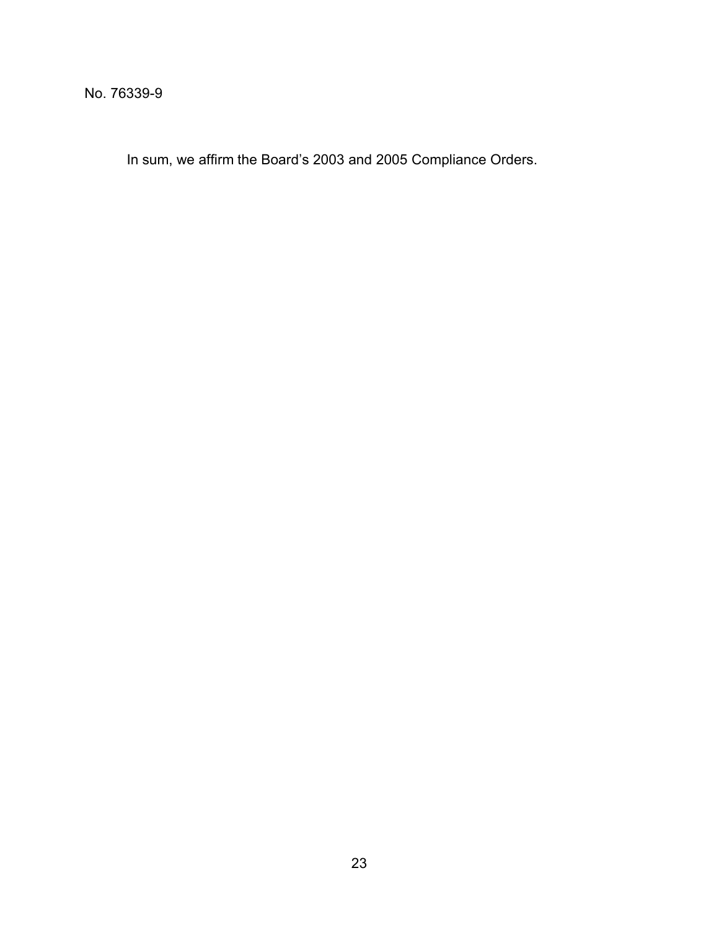In sum, we affirm the Board's 2003 and 2005 Compliance Orders.